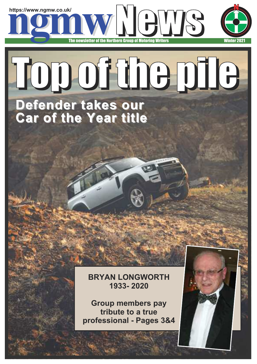

# Top of the pile

### **Defender takes our Car of the Year title**

**BRYAN LONGWORTH 1933- 2020**

**Group members pay tribute to a true professional - Pages 3&4**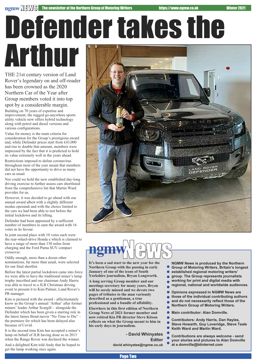# Defendertakes the Arthur

THE 21st century version of Land Rover's legendary on and off-roader has been crowned as the 2020 Northern Car of the Year after Group members voted it into top spot by a considerable margin.

Building on 70 years of expertise and improvement, the rugged go-anywhere sports utility vehicle now offers hybrid technology along with petrol and diesel versions and various configurations.

Value for money is the main criteria for consideration for the Group's prestigious award and, while Defender prices start from £43,000 and rise to double that amount, members were impressed by the fact that it is predicted to hold its value extremely well in the years ahead.

Restrictions imposed to defeat coronavirus throughout most of the year meant that members did not have the opportunity to drive as many cars as usual.

Nor could we hold the now established day-long driving exercise to further assess cars shortlisted from the comprehensive list that Martin Ward provides for us.

However, it was decided to go ahead with our annual award albeit with a slightly different modus operandi and with the choice limited to the cars we had been able to test before the initial lockdown and its lifting.

Defender had been appraised by a sufficient number of members to earn the award with 16 votes in its favour.

In joint second place with 10 votes each were the rear-wheel-drive Honda e which is claimed to have a range of more than 130 miles from charging and the Ford Puma SUV compact crossover.

Oddly enough, more than a dozen other nominations, far more than usual, were selected for our final shortlist.

Before the latest partial lockdown came into force we were able to have the traditional miner's lamp trophy inscribed and our chairman Andy Harris was able to travel to a JLR Christmas driving event to present it to Kim Palmer, Land Rover's PR manager.

Kim is pictured with the award - affectiionately know as the Group's annual 'Arthur' after former miners' leader Arthur Scargill - alongside the Defender which has been given a starring role in the latest James Bond movie "No Time to Die" – the premiere for which has been delayed also because of Covid.

It is the second time Kim has accepted a miner's lamp on behalf of JLR having done so in 2013 when the Range Rover was declared the winner.

And a delighted Kim told Andy that he hoped to get the lamp working once again.



# **If \sum\_{\text{It's been a sad start to the new year for the**

**Northern Group with the passing in early January of one of the icons of South Yorkshire journalism, Bryan Longworth.**

**A long serving Group member and our meetings secretary for many years, Bryan will be sorely missed and we devote two pages of tributes to the man variously described as a gentleman, a true professional and a bundle of affability.**

**Elsewhere in this first edition of Northern Group News of 2021 former member and now retired Kia PR director Steve Kitson reflects on what the Group meant to him in his early days in journalism.**

> **- David Whinyates Editor david.whinyates@ngmw.co.uk**

**NGMW News is produced by the Northern Group of Motoring Writers, Britain's longest**

- **established regional motoring writers'**
- **group. The Group represents journalists**
- **working for print and digital media with**
- **regional, national and worldwide audiences.**
- $\bullet$ **Opinions expressed in NGMW News are**
- **those of the individual contributing authors**  $\blacksquare$
- **and do not necessarily reflect those of the**
	- **Northern Group of Motoring Writers.**

**Main contributor: Alan Domville.**  $\bullet$ 

- **Contributors: Andy Harris, Dan Hayles,**
- **Steve Howarth, Guy Loveridge, Steve Teale**
- **Keith Ward and Martin Ward.**

**Contributions are always welcome - send your stories and pictures to Alan Domville at e.domville@btinternet.com**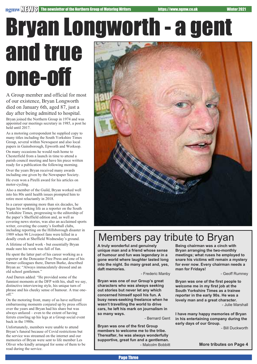### Bryan Longworth - a gent and true one-off

A Group member and official for most of our existence, Bryan Longworth died on January 6th, aged 87, just a day after being admitted to hospital. Bryan joined the Northern Group in 1974 and was appointed our meetings secretary in 1985, a post he held until 2017.

As a motoring correspondent he supplied copy to many titles including the South Yorkshire Times Group, several within Newsquest and also local papers in Gainsborough, Epworth and Worksop.

On many occasions he would rush home to Chesterfield from a launch in time to attend a parish council meeting and have his piece written ready for a publication the following morning.

Over the years Bryan received many awards including one given by the Newspaper Society.

He even won a Pirelli award for his articles on motor-cycling.

Also a member of the Guild, Bryan worked well into his 80s until health issues prompted him to retire most reluctantly in 2018.

In a career spanning more than six decades, he began his working life as a reporter on the South Yorkshire Times, progressing to the editorship of the paper's Sheffield edition and, as well as covering news stories, was also an acclaimed sports writer, covering the county's football clubs, including reporting on the Hillsborough disaster in 1989 when 96 Liverpool fans were killed in a deadly crush at Sheffield Wednesday's ground.

A lifetime of hard work - but essentially Bryan made sure his work was full of fun.

He spent the latter part of his career working as a reporter at the Doncaster Free Press and one of his former colleagues there, Darren Burke, described Bryan as: "Always immaculately dressed and an old school gentlemen."

And Darren added: "He provided some of the funniest moments at the DFP with his, shall we say, distinctive interviewing style, his unique turn of phrase and his cheeky sense of humour. A true oneoff."

On the motoring front, many of us have suffered embarrassing moments conjured up by press offices over the years and Bryan had his share but was always unfazed – even to the extent of having ferrets crawling up his legs at a Group social event back in the 1980s.

Unfortunately, members were unable to attend Bryan's funeral because of Covid restrictions but the service was streamed on the internet and our memories of Bryan were sent to life member Les Oliver who kindly arranged for some of them to be read during the service.



### Members pay tribute to Bryan

**A truly wonderful and genuinely unique man and a friend whose sense of humour and fun was legendary in a gone world where laughter lasted long into the night. So many great and, yes, daft memories.**

- Frederic Manby

**Bryan was one of our Group's great characters who was always seeking out stories but never let any which concerned himself spoil his fun. A busy news-seeking freelance when he wasn't travelling the world to drive cars, he left his mark on journalism in so many ways.**

- Bernard Gent

**Bryan was one of the first Group members to welcome me to the tribe. Thereafter, he was always wonderfully supportive, great fun and a gentleman.** - Malcolm Bobbitt **Being chairman was a cinch with Bryan arranging the two-monthly meetings; what ruses he employed to snare his victims will remain a mystery for ever now. Every chairman needs a man for Fridays!**

- Geoff Rumney

**Bryan was one of the first people to welcome me in my first job at the South Yorkshire Times as a trainee reporter in the early 90s. He was a lovely man and a great character.** - Julie Marshall

**I have many happy memories of Bryan in his entertaining company during the early days of our Group.**

- Bill Duckworth

**More tributes on Page 4**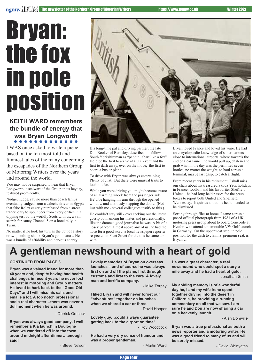### Bryan: the fox in pole position

**KEITH WARD remembers the bundle of energy that was Bryan Longworth**

I WAS once asked to write a piece based on the ten most-told and funniest tales of the many concerning the escapades of the Northern Group of Motoring Writers over the years and around the world.

You may not be surprised to hear that Bryan Longworth, a stalwart of the Group in its heyday, featured prominently.

Nudge, nudge, say no more than coach lamps eventually cadged from a caleche driver in Egypt; that fake Rolex eagerly purchased from a street trader, only to spout beer from every orifice in a dipping test by the worldly Scots with us; a vain search for saucy Channel 5 on a hotel telly in Turin…

No matter if he took his turn as the butt of a story or two, nothing shook Bryan's good nature. He was a bundle of affability and nervous energy.



His long-time pal and driving partner, the late Don Booker of Barnsley, described his fellow South Yorkshireman as "paddin' abart like a fox". He'd be the first to arrive at a UK event and the first to dash away, ever on the move; the first to board a bus or plane.

To drive with Bryan was always entertaining. Plenty of chat. But there were unusual traits to look out for.

While you were driving you might become aware of an alarming knock from the passenger side. He'd be hanging his arm through the opened window and anxiously slapping the door…(Not just with me - several colleagues testify to this.)

He couldn't stay still - ever seeking out the latest gossip both among his mates and professionally, like the damned good journalist he was. A bit of a nosey parker: almost above any of us, he had the nose for a good story, a local newspaper reporter respected in Fleet Street for the tips he came up with.

Bryan loved France and loved his wine. He had an encyclopaedic knowledge of supermarkets close to international airports, where towards the end of a car launch he would pull up, dash in and grab what in the day was the permitted seven bottles, no matter the weight, to haul across a terminal, maybe last gasp, to catch a flight.

From recent years in his retirement, I shall miss our chats about his treasured Skoda Yeti, holidays in France, football and his favourites Sheffield United - he had long held passes for the press boxes to report both United and Sheffield Wednesday. Inquiries about his health tended to be dismissed.

Sorting through files at home, I came across a posed official photograph from 1983 of a UK motoring press group about to board Concorde at Heathrow to attend a memorable VW Golf launch in Germany. On the uppermost step, in pole position for the dash to claim a premium seat, is Bryan….

### **A gentleman newshound with a heart of gold**

#### **CONTINUED FROM PAGE 3**

**Bryan was a valued friend for more than 40 years and, despite having had health challenges in recent years he never lost interest in motoring and Group matters. He loved to hark back to the "Good Old Days" and I will miss his calls and emails a lot. A top notch professional and a real character…there was never a dull moment when he was around.**

- Derrick Grocock

**Bryan was always good company. I well remember a Kia launch in Boulogne when we wandered off into the town around midnight after dinner….enough said!** - Steve Nelson **Lovely memories of Bryan on overseas launches – and of course he was always first on and off the plane, first through customs and first to the cars. A lovely man and terrific company.**

- Mike Torpey

**I liked Bryan and will never forget our "adventures" together on launches when we shared a car or three.**

- David Hooper

**Lovely guy…could always guarantee getting back to the airport on time!** - Roy Woodcock

**He had a very dry sense of humour and was a proper gentleman.**

- Martin Ward

**He was a great character, a real newshound who could spot a story a mile away and he had a heart of gold.** - Jonathan Smith

**My abiding memory is of a wonderful day he, I and my wife Irene spent together driving into the desert in California, he providing a running commentary on all that we saw. I am sure he and Don are now sharing a car on a heavenly launch.**

- Alan Domville

**Bryan was a true professional as both a news reporter and a motoring writer. He was a good friend to many of us and will be sorely missed.**

- David Whinyates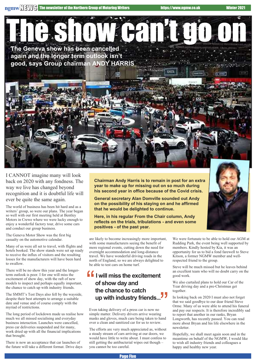**The Geneva show has been cancelled again and the longer term outlook isn't good, says Group chairman ANDY HARRIS** Show can't go on

I CANNOT imagine many will look back on 2020 with any fondness. The way we live has changed beyond recognition and it is doubtful life will ever be quite the same again.

The world of business has been hit hard and as a writers' group, so were our plans. The year began so well with our first meeting held at Bentley Motors in Crewe where we were lucky enough to enjoy a wonderful factory tour, drive some cars and conduct our group business.

The Geneva Motor Show was the first big casualty on the automotive calendar.

Many of us were all set to travel, with flights and hotels booked. The show stands were set up ready to receive the influx of visitors and the resulting losses for the manufacturers will have been hard to swallow.

There will be no show this year and the longerterm outlook is poor. I for one will miss the excitement of show day, with the raft of new models to inspect and perhaps equally important, the chance to catch up with industry friends.

The SMMT's Test Days also fell by the wayside, despite their best attempts to arrange a suitable date and venue and of course comply with the myriad of restrictions.

The long period of lockdown made us realise how much we all missed socialising and everyday business interaction. Launches were cancelled, press car deliveries suspended and for many, work dried up with all the financial implications that brought.

There is now an acceptance that car launches of the future will take a different format. Drive days **Chairman Andy Harris is to remain in post for an extra year to make up for missing out on so much during his second year in office because of the Covid crisis.**

**General secretary Alan Domville sounded out Andy on the possibility of his staying on and he affirmed that he would be delighted to continue.**

**Here, in his regular From the Chair column, Andy reflects on the trials, tribulations - and even some positives - of the past year.**

are likely to become increasingly more important, with some manufacturers seeing the benefit of more regional events, cutting down the need for overnight accommodation and long-distance travel. We have wonderful driving roads in the north of England, so we are always delighted to be able to test cars on home turf.

#### **I will miss the excitement of show day and the chance to catch** of show day and<br>the chance to catch<br>up with industry friends...<sup>"</sup> "<br>"<br>"

Even taking delivery of a press car is now no simple matter. Delivery drivers arrive wearing masks and gloves, much care being taken to hand over a clean and sanitized car for us to review.

The efforts are very much appreciated as, without a steady stream of cars arriving at our doors, we would have little to write about. I must confess to still getting the antibacterial wipes out though – you cannot be too careful.

We were fortunate to be able to hold our AGM at Rudding Park, the event being well supported by members. Kindly hosted by Kia, it was an opportunity for us to bid a fond farewell to Steve Kitson, a former NGMW member and wellrespected friend to the group.

Steve will be much missed but he leaves behind an excellent team who will no doubt carry on the good work.

We also curtailed plans to hold our Car of the Year driving day and a pre-Christmas get together.

In looking back on 2020 I must also not forget that we said goodbye to our dear friend Steve Orme. Many of us were able to attend his funeral and pay our respects. It is therefore incredibly sad to report that another in our ranks, Bryan Longworth, has recently passed. You can read more about Bryan and his life elsewhere in the newsletter.

Hopefully, we shall meet again soon and in the meantime on behalf of the NGMW, I would like to wish all industry friends and colleagues a happy and healthy new year.

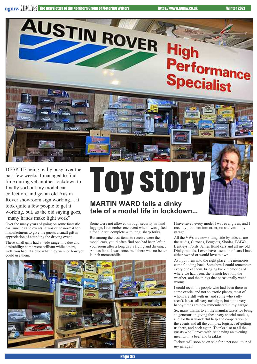

DESPITE being really busy over the past few weeks, I managed to find time during yet another lockdown to finally sort out my model car collection, and get an old Austin Rover showroom sign working.... it took quite a few people to get it working, but, as the old saying goes, "many hands make light work"

Over the many years of going on some fantastic car launches and events, it was quite normal for manufacturers to give the guests a small gift in appreciation of attending the driving event.

These small gifts had a wide range in value and desirability: some were brilliant while others, well, you hadn't a clue what they were or how you could use them.

# Toy story

#### **MARTIN WARD tells a dinky tale of a model life in lockdown...**

Some were not allowed through security in hand luggage, I remember one event when I was gifted a fondue set, complete with long, sharp forks.

But among the best items to receive were the model cars, you'd often find one had been left in your room after a long day's flying and driving, . And as far as I was concerned there was no better launch memorabilia.



I have saved every model I was ever given, and I recently put them into order, on shelves in my garage.

All the VWs are now sitting side by side, as are the Audis, Citroens, Peugeots, Skodas, BMWs, Bentleys, Fords, James Bond cars and all my old Dinky models. I even have a section of cars I have either owned or would love to own.

As I put them into the right place, the memories came flooding back. Somehow I could remember every one of them, bringing back memories of where we had been, the launch location, the weather, and the things that occasionally went wrong.

I could recall the people who had been there in some exotic, and not so exotic places, most of whom are still with us, and some who sadly aren't. It was all very nostalgic, but some very happy times are now remembered in my garage.

So, many thanks to all the manufacturers for being so generous in giving these very special models, and for their wonderful help and cooperation on the events and all the complex logistics of getting us there, and back again. Thanks also to all the guests who I drove with, sat having an evening meal with, a beer and breakfast.

Tickets will soon be on sale for a personal tour of my garage..!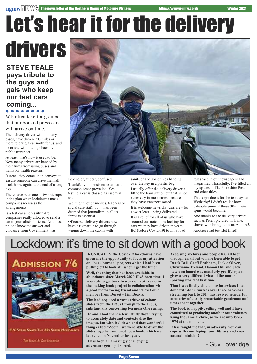### Let's hear it for the delivery drivers

#### **STEVE TEALE pays tribute to the guys and gals who keep our test cars coming...**

WE often take for granted that our booked press cars will arrive on time.

The delivery driver will, in many cases, have driven 200 miles or more to bring a car north for us, and he or she will often go back by public transport.

At least, that's how it used to be. Now many drivers are banned by their firms from using buses and trains for health reasons.

Instead, they come up in convoys to ensure someone can drive them all back home again at the end of a long day.

There have been one or two hiccups in the plan when lockdowns made companies re-assess their arrangements.

Is a test car a necessity? Are companies really allowed to send a car to journalists for tests? At times, no-one knew the answer and guidance from Government was



lacking or, at best, confused.

Thankfully, in mosts cases at least, common sense prevailed. Yes, testing a car is classed as essential use.

We might not be medics, teachers or social care staff, but it has been deemed that journalism in all its forms is essential.

Of course, delivery drivers now have a rigmarole to go through, wiping down the cabins with

sanitiser and sometimes handing over the key in a plastic bag.

I usually offer the delivery driver a lift to the train station but that is not necessary in most cases because they have transport sorted.

It is welcome news that cars are - for now at least - being delivered.

It is a relief for all of us who have scoured our notebooks looking for cars we may have driven in years BC (before Covid-19) to fill a road test space in our newspapers and magazines. Thankfully, I've filled all my spaces in The Yorkshire Post and other titles.

Thank goodness for the test days at Wetherby! I didn't realise how valuable some of those 30-minute spins would become.

And thanks to the delivery drivers such as Peter, pictured with me, above, who brought me an Audi A3. Another road test slot filled!

### Lockdown: it's time to sit down with a good book



E.V. STARR SHAPS THE 60S SPEED MERCHARTY

Tor Bonn & Gor Londonce

**IRONICALLY the Covid-19 lockdowns have given me the opportunity to focus my attention on "back burner" projects which I had been putting off to look at "when I get the time"!**

**Well, the thing that has been available in abundance since March 2020 HAS been time. I was able to get back to work on a six years in the making book project in collaboration with a good motor racing friend and fellow Guild member from Dorset - Tim Beavis.**

**Tim had acquired a vast archive of colour slides from the 1960s through to the 1980s, substantially concerning Formula One racing.**

**He and I had spent a few "study days" trying to accurately date and contextualise the images, but with lockdown and that wonderful thing called "Zoom" we were able to draw the slides together and produce a book, which we launched in November last year.**

**It has been an amazingly challenging adventure getting it sorted.**

**Accessing archives and people has all been through email but to have been able to get Derek Bell, Geoff Brabham, Jackie Oliver, Christianne Ireland, Damon Hill and Jack Lewis on board was massively gratifying and gives a very different view of the motor sporting world of that time.**

**That I was finally able to use interviews I had done with John Surtees over three occasions stretching back to 2014 has revived wonderful memories of a truly remarkable gentleman and times spent together.**

**The book is, happily, selling well and I have committed to producing another four volumes using the same archive, so we are into 1970- 1974 at the moment.**

**It has taught me that, in adversity, you can cope with your laptop, your library and your natural intuition!**

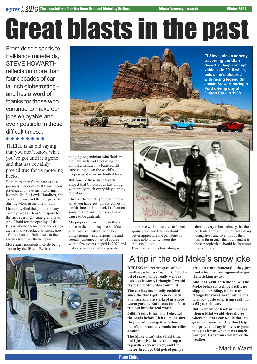# Great blasts in the past

From desert sands to Falklands minefields, STEVE HOWARTH reflects on more than four decades of car launch globetrotting and has a word of thanks for those who continue to make our jobs enjoyable and even possible in these difficult times...

THERE is an old saying that you don't know what you've got until it's gone and that has certainly proved true for us motoring hacks.

With more than four decades as a journalist under my belt I have been privileged to have met motoring legends like Sir Lewis Hamilton, Sir Jackie Stewart and the late great Sir Stirling Moss in the line of duty. I have travelled the globe to many exotic places such as Singapore for the first ever night-time grand prix, Abu Dhabi for the opening of the Ferrari World theme park and driven across many spectacular landscapes - from a barren Utah desert to the snowfields of northern Japan. More hairy moments include being shot at by the IRA in Belfast,

r **Steve joins a convoy traversing the Utah desert in Jeep concept vehicles in 2015 while, below, he's pictured with racing legend Sir Jackie Stewart during a Ford driving day at Oulton Park in 1988.**

dodging Argentinian minefields in the Falklands and freefalling for almost a minute in a battered lift cage going down the world's deepest gold mine in South Africa.

But none of these have had the impact that Coronavirus has brought with pretty much everything coming to a stop.

This is where that 'you don't know what you have got' phrase comes in - with time to think back I reflect on some terrific adventures and have cause to be grateful.

My purpose in writing is to thank those in the motoring press offices who have valiantly tried to keep things going – in a responsible and socially distanced way of course – with a few events staged in 2020 and test cars supplied where possible.



I hope we will all survive to 'meet again' soon and I will certainly better appreciate the privilege of being able to write about the industry I love. This blasted virus has, along with

almost every other industry, hit the car trade hard – mind you with many losing lives and livelihoods their loss is far greater than ours and it is those people that should be foremost in our minds.



### A trip in the old Moke's snow joke

**DURING the recent spate of bad weather, when we "up north" had a bit of snow, which really went as quick as it came, I thought I would try my old Mini Moke out in it.**

**The car has been molly-coddled since the day I got it - never seen any rain and always kept in a nice warm garage. But it was time for a trip out into the real world.**

**I didn't take it far, and I checked the roads before I left to make sure they hadn't been gritted - they hadn't, nor had any roads for miles around.**

**The Moke didn't start first time, but I just give the petrol pump a tap with a screwdriver, and the motor fired up. Old petrol pumps**

**are a bit temperamental - they just need a bit of encouragement to get them ticking away.**

**And off I went, into the snow. The Moke behaved itself perfectly, no slipping or sliding, it drove as though the roads were just normal tarmac - quite surprising really for a 52 year old car.**

**But I remember back in the days when a Mini would virtually go where no other car would dare to go in bad weather. The short trip did prove that my Moke is as good today as it was when it was much younger. Great fun - whatever the weather.**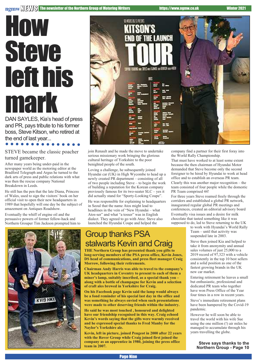### How **Steve** lefthis mark

DAN SAYLES, Kia's head of press and PR, pays tribute to his former boss, Steve Kitson, who retired at the end of last year...

STEVE became the classic poacher turned gamekeeper.

After many years being under-paid in the newspaper world as the motoring editor at the Bradford Telegraph and Argus he turned to the dark arts of press and public relations with what was then the rescue company National Breakdown in Leeds.

He still has the pen that the late Diana, Princess of Wales, used to sign the visitors' book on her official visit to open their new headquarters in 1989 that hopefully will one day be the subject of amazement on Antiques Roadshow.

Eventually the whiff of engine oil and the persuasive powers of former fellow-hack and Northern Grouper Tim Jackson prompted him to





join Renault and he made the move to undertake serious missionary work bringing the glorious cultural heritage of Yorkshire to the poor benighted people of the south.

Loving a challenge, he subsequently joined Hyundai car (UK) in High Wycombe to head up a newly created PR department – consisting of all of two people including Steve – to begin the work of building a reputation for the Korean company previously famous for its two-seater SLC – yes it did actually stand for "Sporty-Looking Coupe".

He was responsible for explaining to headquarters in Seoul that the name Atos might lead to headlines in the vein of "New Hyundai – what Atos-ser" and what "a tosser" was in English dialect. They agreed to go with Atoz. Steve also launched the Hyundai Coupe and helped the

#### Group thanks PSA stalwarts Kevin and Craig

**THE Northern Group has presented thank you gifts to long-serving members of the PSA press office, Kevin Jones, DS head of communications, and press fleet manager Craig Morrow, following their retirements.**

**Chairman Andy Harris was able to travel to the company's UK headquarters in Coventry to present to each of them a miner's lamp, suitably inscribed, as a special thank you – along with a bottle of champagne for Kevin and a selection of craft ales brewed in Yorkshire for Craig.**

**On his Facebook page Kevin said the lamp would always be a fond reminder of his special last day in the office and was something he always envied when such presentations were made to other deserving friends within the industry.**

**He said he was most touched , honoured and delighted have our friendship recognised in this way. Craig echoed Kevin's words saying that the gifts were warmly received and he expressed special thanks to Fred Manby for the Naylor's Yorkshire ale.**

**Kevin, left in picture, joined Peugeot in 2000 after 22 years with the Rover Group while Craig joined first joined the company as an apprentice in 1980, joining the press office team in 2007.**

company find a partner for their first foray into the World Rally Championship.

That must have worked to at least some extent because the then chairman of Hyundai Motor demanded that Steve become only the second foreigner to be hired by Hyundai to work at head office and to establish an overseas PR team. Clearly this was another major recognition – the team consisted of four people while the domestic PR Team comprised 44!

For three years Steve roamed freely through the corridors and established a global PR network, inaugurated regular global PR meetings and conferences, created an editorial advisory board Eventually visa issues and a desire for milk chocolate that tasted something like it was supposed to do, led to Steve returning to the UK

to work with Hyundai's World Rally Team – until that activity was suspended late in 2003.

Steve then joined Kia and helped to take it from anonymity and annual sales volumes of just 25,000 to a 2019 record of 97,323 with a vehicle consistently in the top 10 best sellers and a solid position as one of the fastest growing brands in the UK new car market.

Entering retirement he leaves a small but enthusiastic, professional and dedicated PR team who together have won Press Office of the Year four times in a row in recent years.

Steve's immediate retirement plans have been hampered by the Covid-19 pandemic.

However he will soon be able to travel the world with his wife Sue using the one million (!) air miles he managed to accumulate through his years travelling the globe.

> **Steve says thanks to the Northern Group - Page 10**

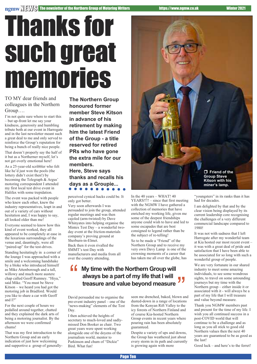# Thanks for such great memories

TO MY dear friends and colleagues in the Northern Group….

I'm not quite sure where to start this – but up-front let me say your kindness, generosity and humbling tribute both at our event in Harrogate and in the last newsletter meant such a great deal to me and only served to reinforce the Group's reputation for being a bunch of really nice people. That doesn't properly say the half of it but as a Northerner myself, let's not get overly emotional here!

As a 25-year-old scribbler who felt like he'd just won the pools (the lottery didn't exist then!) by becoming the Telegraph & Argus' motoring correspondent I attended my first local test drive event in Halifax with some trepidation.

The event was packed with people who knew each other, knew the industry representatives, leapt in and out of a variety of cars without hesitation and, I was happy to say, all looked older than me!

Everyone seemed to know how this kind of event worked, they all appeared to be completely at ease in the luxurious surroundings of the venue and, dauntingly, were all "paired-up" for the test-drives.

Standing hesitatingly in a corner of the lounge I was approached with a smile and a welcoming handshake by a bloke who introduced himself as Mike Attenborough and a tall, willowy and much more austere chap called Geoff Rumney. "Hiya," said Mike. "You must be Steve Kitson – we heard you had got the motoring job in Bradford. Would you like to share a car with Geoff and I?"

For the next couple of hours we pedalled around together, chatted and they explained the dark arts of being a motoring journalist. By the afternoon we were confirmed chums!

That was my first introduction to the Northern Group and an early indication of just how welcoming and supportive a group of generally**The Northern Group honoured former member Steve Kitson in advance of his retirement by making him the latest Friend of the Group - a title reserved for retired PRs who have gone the extra mile for our members.**

**Here, Steve says thanks and recalls his days as a Groupie...**

perceived cynical hacks could be. It only got better.

Very soon afterwards I was persuaded to join the group, attended regular meetings and was then cajoled (arm-twisted) by Dave Whinyates into helping organise the Mintex Test Day – a wonderful twoday event at the friction-materials company's proving ground at Sherburn-in-Elmet.

Back then it even rivalled the SMMT's test Day with manufacturers and media from all over the country attending.



In the 40 years – WHAT! 40 YEARS!!!! – since that first meeting with the NGMW I have gathered a collection of memories that have enriched my working life, given me some of the deepest friendships anyone could wish to have and led to some escapades that are best consigned to legend rather than be

So to be made a "Friend" of the Northern Group and to receive my very own Davy Lamp is one of the crowning moments of a career that has taken me all over the globe, has

"youngsters" in its ranks than it has had for decades.

I am delighted by that and by the clear vision being displayed by its current leadership core recognising the challenges of a very different commercial landscape compared to 1980!

It was not with sadness that I left Harrogate after my wonderful team at Kia hosted our most recent event – it was with a great deal of pride and satisfaction that I have been able to be associated for so long with such a wonderful group of people.

We are very fortunate in our shared industry to meet some amazing individuals, to see some wondrous sights, to travel on some astounding journeys but my time with the Northern group – either inside it or associated with it - will always be a part of my life that I will treasure and value beyond measure.

Thank you NGMW members past and present for the time of my life. I wish you all continued success in a post-COVID world that will continue to be a challenge and as long as you all stick to good old Northern values then the next 40 years are guaranteed to be as good as the last!

Good luck – and here's to the ferret!

the subject of re-telling!

#### **f My** time with the Northern Group will<br>
always be a part of my life that I will<br>
treasure and value beyond measure **always be a part of my life that I will treasure and value beyond measure** "

David persuaded me to organise the pre-event industry panel – one of the "news-making" elements of the Test Day.

I then achieved the heights of secretary to much-loved and sadlymissed Don Booker as chair. Two great years were spent working alongside one of the doyens of the journalism world, mentor to Parkinson and chum of "Dickie" Bird. What fun!

seen me drenched, baked, blown and dusted-down in a range of locations from the Kenyan Rift Valley to the icy forests of Northern Finland and of course Kia-hosted Northern Group events in recent years where pouring rain has been absolutely guaranteed.

Despite a variety of ups and downs, the Group has weathered just about every storm in its path and currently is growing again with more

Page Ten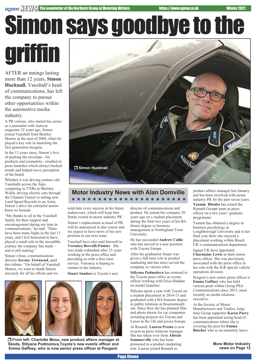# Simon says goodbye to the griffin

AFTER an innings lasting more than 12 years, **Simon Hucknall**, Vauxhall's head of communications, has left the company to pursue other opportunities within the automotive media industry.

A PR veteran, who started his career as a journalist with Autocar magazine 23 years ago, Simon joined Vauxhall from Bentley Motors at the start of 2008, when he played a key role in launching the first generation Insignia.

In the 13 years since, Simon's love of pushing the envelope - for products and journalists - resulted in press launches which always bucked trends and helped move perception of the brand.

Whether it was driving century-old Vauxhalls across the Alps, competing in VXRs at Shelsley Walsh, driving electric cars through the Channel Tunnel or setting new Land Speed Records in an Astra, Simon's drive for colourful stories knew no bounds.

"My thanks to all in the Vauxhall family for their support and encouragement during my time in communications,' he said. 'There have been many highs in the last 13 years, and I feel honoured to have played a small role in the incredible journey the company has made – and is still making."

Simon's boss, communications director **Jeremy Townsend**, paid this tribute: "On behalf of Vauxhall Motors, we want to thank Simon sincerely for all his efforts and we



#### **Motor Industry News with Alan Domville**

wish him every success in his future endeavours, which will keep him firmly rooted in motor industry PR.'

Simon's replacement as head of PR will be announced in due course and we expect to have news of his new position in our next issue.

Vauxhall have also said farewell to **Veronica Borrelli-Painter**. She was made redundant after 23 years working in the press office and providing us with a first class service. Veronica is hoping to remain in the industry.

**Stuart Sanders** is Toyota's new





r **From left: Charlotte Moss, new product affairs manager at Skoda, Stilyana Podmolova,Toyota's new events officer and Emma Gaffney, who is now senior press officer at Peugeot.**

director of communications and product. He joined the company 20 years ago on a student placement during the final two years of his BA (hons) degree in business management at Nottingham Trent University.

He has succeeded **Andrew Cullis** who has moved to a new position with Toyota Europe.

After his graduation Stuart was given a full-time role in product marketing and has since served the company in various roles.

**Stilyana Podmolova** has returned to the Toyota press office as events officer working with Erica Haddon on model launches.

Stilyana spent a year with Toyota on a student placement in 2014-15 and graduated with a BA honours degree in public relations at Bournemouth uni. Since then she has planned film and photo shoots for car companies including projects for Toyota and Lexus in the UK and across Europe.

At Renault, **Lauren Prema** is now in post as press relations manager. She has taken over from **Alistair Sommerville** who has been promoted to a product marketing role. Lauren joined Renault as

product affairs manager last January and has been involved with motor industry PR for the past seven years. **Yasmin Rhodes** has joined the Renault Groupe team as press officer on a two years' graduate programme.

Yasmin has obtained a degree in business psychology at Loughborough University and in her final year there she enjoyed a placement working within Bosch UK's communications department.

Jaguar UK have appointed **Charmaine Lewis** as their senior press officer. She was previously associated with the press office in her role with the JLR special vehicle operations division.

Peugeot's new senior press officer is **Emma Gaffney** who has held various posts within Group PSA Communications since 2015, most recently as media relations executive.

At the Society of Motor Manufacturers and Traders, longtime Group supporter **Karen Parry** has been appointed acting head of communications where she is covering the post for **Emma Butcher** who is on maternity leave.

> **More Motor Industry news on Page 12**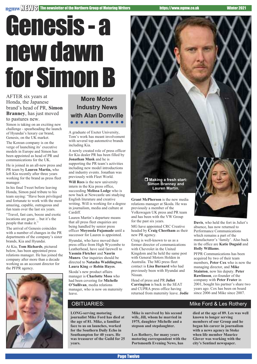# Genesis - a new dawn for Simon B

#### AFTER six years at Honda, the Japanese brand's head of PR, **Simon Branney**, has just moved to pastures new.

Simon is taking on an exciting new challenge - spearheading the launch of Hyundai's luxury car brand, Genesis, on the UK market.

The Korean company is on the verge of launching its' executive models in Europe and Simon has been appointed as head of PR and communications for the UK.

He is joined in an all-new press and PR team by **Lauren Martin,** who left Kia recently after three years working for the brand as press fleet manager.

In his final Tweet before leaving Honda, Simon paid tribute to his team saying: "Have been privileged and fortunate to work with the most amazing, capable, outrageous and fun team over the last six years.

"Travel, fast cars, booze and exotic locations are great ... but it's the people that make it."

The arrival of Genesis coincides with a number of changes in the PR departments of the company's sister brands, Kia and Hyundai.

At Kia, **Tom Richards**, pictured below, has been appointed press relations manager. He has joined the company after more than a decade working as an account director for the PFPR agency.



#### **More Motor Industry News with Alan Domville** . . . . . . . . . .

A graduate of Exeter University, Tom's work has meant involvement with several top automotive brands including Kia.

A newly created role of press officer for Kia dealer PR has been filled by **Jonathan Musk** and he is supporting the PR team's activities including new model introductions and industry events. Jonathan was previously with Fleet World.

**Will Rees** is the new university intern in the Kia press office, succeeding **Melissa Lodge** who is now back at Newcastle uni studying English literature and creative writing. Will is working for a degree in journalism, media and culture at Cardiff.

Lauren Martin's departure means that all press fleet enquiries are being handled by senior press officer **Moyosola Fujamade** until a successor for Lauren is appointed.

Hyundai, who have moved their press office from High Wycombe to Leatherhead, have said farewell to **Yasmin Fletcher** and **Nasrin Munro**. Our inquiries should be directed to **Natasha Waddington**, **Laura King** or **Robin Hayes**.

Skoda's new product affairs manager is **Charlotte Moss** who had been covering for **Michelle O'Sullivan**, media relations manager, who is now on maternity leave.



relations manager at Skoda. He was previously a member of the Volkswagen UK press and PR team and has been with the VW Group for the past six years.

MG have appointed CRC Creative headed by **Craig Cheetham** as their new PR agency.

Craig is well-known to us as a former director of communications with Chevrolet in the United Kingdom and he held the same post with General Motors Holden in Australia. The MG press fleet contact is **Lisa Barnard** who had previously been with Hyundai and Nissan.

Head of press and PR **Juliet Carrington** is back in the SEAT and CUPRA press office having returned from maternity leave. **Jodie** **Davis**, who held the fort in Juliet's absence, has now returned to Performance Communications which remains a part of the manufacturer's 'family'. Also back in the office are **Katie Duguid** and **Holly Williams**.

PFPR Communications has been acquired by two of their team members, **Peter Cox** who is now the managing director, and **Mike Stainton**, now his deputy. **Peter Rawlinson**, co-founder of the company with **Peter Frater** in 2001, bought his partner's share two years ago. Cox has been on board since 2006 and Mike since 2007.

**LONG-serving motoring journalist Mike Ford has died at the age of 81. Mike, a familiar face to us on launches, worked for the Southern Daily Echo in Southampton for 40 years. He was treasurer of the Guild for 25 years.**

**Mike is survived by his second wife, Jill, whom he married in 1975, daughter Michelle and a stepson and stepdaughter.**

**Les Rothery, for many years motoring correspondent with the Portsmouth Evening News, has**

#### OBITUARIES: Mike Ford & Les Rothery

**died at the age of 89. Les was well known to longer serving members of our Group and he began his career in journalism with a news agency in Stoke when life member Maurice Glover was working with the city's Sentinel newspaper.**